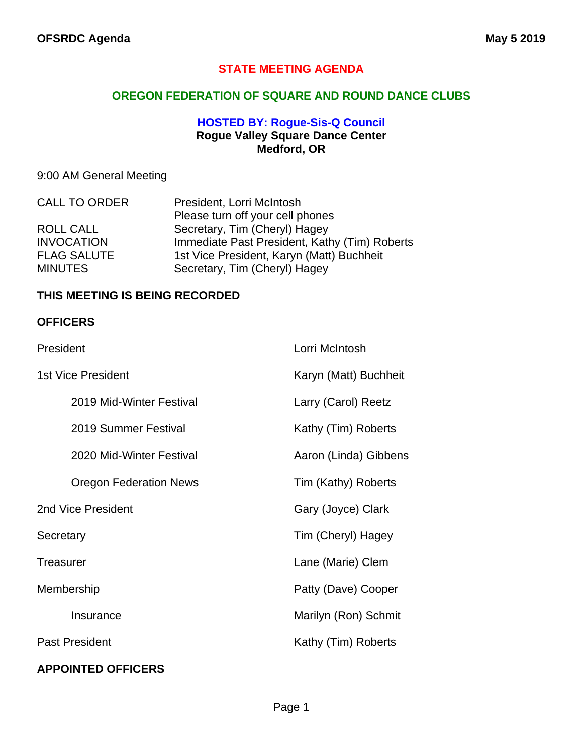#### **STATE MEETING AGENDA**

#### **OREGON FEDERATION OF SQUARE AND ROUND DANCE CLUBS**

#### **HOSTED BY: Rogue-Sis-Q Council Rogue Valley Square Dance Center Medford, OR**

### 9:00 AM General Meeting

| <b>CALL TO ORDER</b> | President, Lorri McIntosh                     |
|----------------------|-----------------------------------------------|
|                      | Please turn off your cell phones              |
| ROLL CALL            | Secretary, Tim (Cheryl) Hagey                 |
| <b>INVOCATION</b>    | Immediate Past President, Kathy (Tim) Roberts |
| <b>FLAG SALUTE</b>   | 1st Vice President, Karyn (Matt) Buchheit     |
| <b>MINUTES</b>       | Secretary, Tim (Cheryl) Hagey                 |

#### **THIS MEETING IS BEING RECORDED**

#### **OFFICERS**

| President                     | Lorri McIntosh        |
|-------------------------------|-----------------------|
| 1st Vice President            | Karyn (Matt) Buchheit |
| 2019 Mid-Winter Festival      | Larry (Carol) Reetz   |
| 2019 Summer Festival          | Kathy (Tim) Roberts   |
| 2020 Mid-Winter Festival      | Aaron (Linda) Gibbens |
| <b>Oregon Federation News</b> | Tim (Kathy) Roberts   |
| 2nd Vice President            | Gary (Joyce) Clark    |
| Secretary                     | Tim (Cheryl) Hagey    |
| <b>Treasurer</b>              | Lane (Marie) Clem     |
| Membership                    | Patty (Dave) Cooper   |
| Insurance                     | Marilyn (Ron) Schmit  |
| <b>Past President</b>         | Kathy (Tim) Roberts   |
|                               |                       |

### **APPOINTED OFFICERS**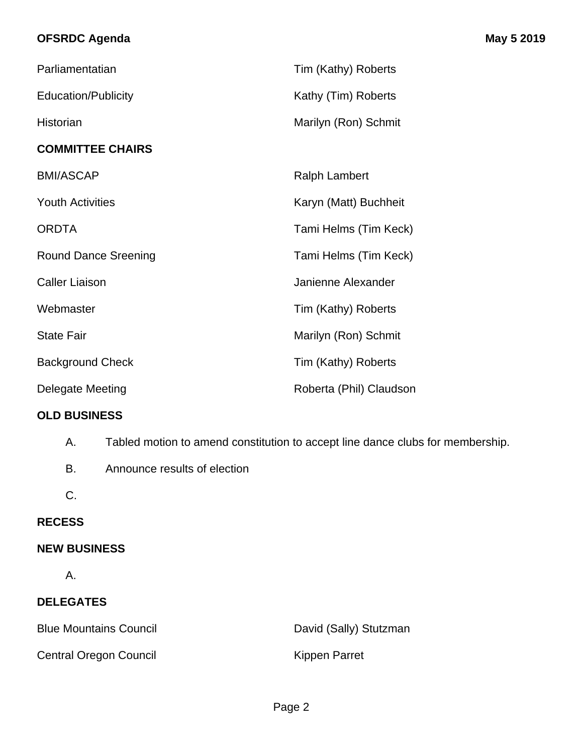## **OFSRDC Agenda May 5 2019**

| Parliamentatian             | Tim (Kathy) Roberts     |
|-----------------------------|-------------------------|
| <b>Education/Publicity</b>  | Kathy (Tim) Roberts     |
| Historian                   | Marilyn (Ron) Schmit    |
| <b>COMMITTEE CHAIRS</b>     |                         |
| <b>BMI/ASCAP</b>            | <b>Ralph Lambert</b>    |
| <b>Youth Activities</b>     | Karyn (Matt) Buchheit   |
| <b>ORDTA</b>                | Tami Helms (Tim Keck)   |
| <b>Round Dance Sreening</b> | Tami Helms (Tim Keck)   |
| <b>Caller Liaison</b>       | Janienne Alexander      |
| Webmaster                   | Tim (Kathy) Roberts     |
| <b>State Fair</b>           | Marilyn (Ron) Schmit    |
| <b>Background Check</b>     | Tim (Kathy) Roberts     |
| <b>Delegate Meeting</b>     | Roberta (Phil) Claudson |

#### **OLD BUSINESS**

- A. Tabled motion to amend constitution to accept line dance clubs for membership.
- B. Announce results of election
- C.

## **RECESS**

#### **NEW BUSINESS**

A.

# **DELEGATES**

Blue Mountains Council **David (Sally)** Stutzman Central Oregon Council **Kippen Parret**